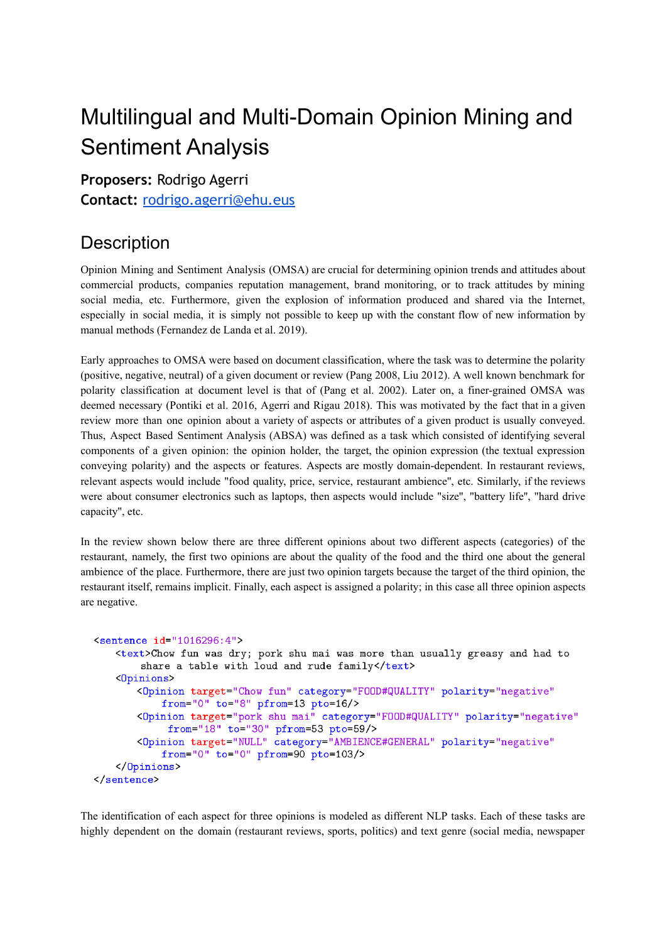# Multilingual and Multi-Domain Opinion Mining and Sentiment Analysis

**Proposers:** Rodrigo Agerri

**Contact:** [rodrigo.agerri@ehu.eus](http://rodrigo.agerri@ehu.eus)

## **Description**

Opinion Mining and Sentiment Analysis (OMSA) are crucial for determining opinion trends and attitudes about commercial products, companies reputation management, brand monitoring, or to track attitudes by mining social media, etc. Furthermore, given the explosion of information produced and shared via the Internet, especially in social media, it is simply not possible to keep up with the constant flow of new information by manual methods (Fernandez de Landa et al. 2019).

Early approaches to OMSA were based on document classification, where the task was to determine the polarity (positive, negative, neutral) of a given document or review (Pang 2008, Liu 2012). A well known benchmark for polarity classification at document level is that of (Pang et al. 2002). Later on, a finer-grained OMSA was deemed necessary (Pontiki et al. 2016, Agerri and Rigau 2018). This was motivated by the fact that in a given review more than one opinion about a variety of aspects or attributes of a given product is usually conveyed. Thus, Aspect Based Sentiment Analysis (ABSA) was defined as a task which consisted of identifying several components of a given opinion: the opinion holder, the target, the opinion expression (the textual expression conveying polarity) and the aspects or features. Aspects are mostly domain-dependent. In restaurant reviews, relevant aspects would include "food quality, price, service, restaurant ambience'', etc. Similarly, if the reviews were about consumer electronics such as laptops, then aspects would include "size'', "battery life'', "hard drive capacity'', etc.

In the review shown below there are three different opinions about two different aspects (categories) of the restaurant, namely, the first two opinions are about the quality of the food and the third one about the general ambience of the place. Furthermore, there are just two opinion targets because the target of the third opinion, the restaurant itself, remains implicit. Finally, each aspect is assigned a polarity; in this case all three opinion aspects are negative.

```
<sentence id="1016296:4">
   <text>Chow fun was dry; pork shu mai was more than usually greasy and had to
       share a table with loud and rude family</text>
   <Opinions>
       <Opinion target="Chow fun" category="FOOD#QUALITY" polarity="negative"
           from="0" to="8" pfrom=13 pto=16/<Opinion target="pork shu mai" category="FOOD#QUALITY" polarity="negative"
            from="18" to="30" pfrom=53 pto=59/>
       <Opinion target="NULL" category="AMBIENCE#GENERAL" polarity="negative"
           from="0" to="0" pfrom=90 pto=103/>
   </Dpinions>
</sentence>
```
The identification of each aspect for three opinions is modeled as different NLP tasks. Each of these tasks are highly dependent on the domain (restaurant reviews, sports, politics) and text genre (social media, newspaper